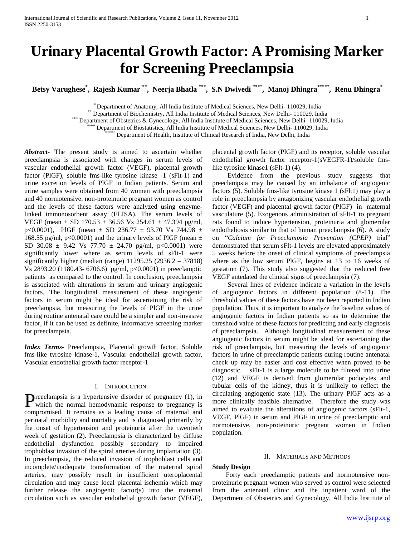# **Urinary Placental Growth Factor: A Promising Marker for Screening Preeclampsia**

**Betsy Varughese\* , Rajesh Kumar \*\* , Neerja Bhatla \*\*\* , S.N Dwivedi \*\*\*\* , Manoj Dhingra\*\*\*\*\* , Renu Dhingra\***

\* Department of Anatomy, All India Institute of Medical Sciences, New Delhi- 110029, India

Department of Biochemistry, All India Institute of Medical Sciences, New Delhi- 110029, India

\*\*\* Department of Obstetrics & Gynecology, All India Institute of Medical Sciences, New Delhi- 110029, India

Department of Biostatistics, All India Institute of Medical Sciences, New Delhi- 110029, India

Department of Health, Institute of Clinical Research of India, New Delhi, India

*Abstract***-** The present study is aimed to ascertain whether preeclampsia is associated with changes in serum levels of vascular endothelial growth factor (VEGF), placental growth factor (PlGF), soluble fms-like tyrosine kinase -1 (sFlt-1) and urine excretion levels of PlGF in Indian patients. Serum and urine samples were obtained from 40 women with preeclampsia and 40 normotensive, non-proteinuric pregnant women as control and the levels of these factors were analyzed using enzymelinked immunosorbent assay (ELISA). The serum levels of VEGF (mean  $\pm$  SD 170.53  $\pm$  36.56 Vs 254.61  $\pm$  47.394 pg/ml, p<0.0001), PlGF (mean  $\pm$  SD 236.77  $\pm$  93.70 Vs 744.98  $\pm$ 168.55 pg/ml, p<0.0001) and the urinary levels of PIGF (mean  $\pm$ SD 30.08  $\pm$  9.42 Vs 77.70  $\pm$  24.70 pg/ml, p<0.0001) were significantly lower where as serum levels of sFlt-1 were significantly higher (median (range) 11295.25 (2936.2 – 37818) Vs 2893.20 (1180.43- 6706.6) pg/ml, p<0.0001) in preeclamptic patients as compared to the control. In conclusion, preeclampsia is associated with alterations in serum and urinary angiogenic factors. The longitudinal measurement of these angiogenic factors in serum might be ideal for ascertaining the risk of preeclampsia, but measuring the levels of PlGF in the urine during routine antenatal care could be a simpler and non-invasive factor, if it can be used as definite, informative screening marker for preeclampsia.

*Index Terms*- Preeclampsia, Placental growth factor, Soluble fms-like tyrosine kinase-1, Vascular endothelial growth factor, Vascular endothelial growth factor receptor-1

#### I. INTRODUCTION

reeclampsia is a hypertensive disorder of pregnancy (1), in **P**reeclampsia is a hypertensive disorder of pregnancy (1), in which the normal hemodynamic response to pregnancy is compromised. It remains as a leading cause of maternal and perinatal morbidity and mortality and is diagnosed primarily by the onset of hypertension and proteinuria after the twentieth week of gestation (2). Preeclampsia is characterized by diffuse endothelial dysfunction possibly secondary to impaired trophoblast invasion of the spiral arteries during implantation (3). In preeclampsia, the reduced invasion of trophoblast cells and incomplete/inadequate transformation of the maternal spiral arteries, may possibly result in insufficient uteroplacental circulation and may cause local placental ischemia which may further release the angiogenic factor(s) into the maternal circulation such as vascular endothelial growth factor (VEGF),

placental growth factor (PlGF) and its receptor, soluble vascular endothelial growth factor receptor-1(sVEGFR-1)/soluble fmslike tyrosine kinase1 (sFlt-1) (4).

 Evidence from the previous study suggests that preeclampsia may be caused by an imbalance of angiogenic factors (5). Soluble fms-like tyrosine kinase 1 (sFlt1) may play a role in preeclampsia by antagonizing vascular endothelial growth factor (VEGF) and placental growth factor (PlGF) in maternal vasculature (5). Exogenous administration of sFlt-1 to pregnant rats found to induce hypertension, proteinuria and glomerular endotheliosis similar to that of human preeclampsia (6). A study on "*Calcium for Preeclampsia Prevention (CPEP)* trial" demonstrated that serum sFlt-1 levels are elevated approximately 5 weeks before the onset of clinical symptoms of preeclampsia where as the low serum PlGF, begins at 13 to 16 weeks of gestation (7). This study also suggested that the reduced free VEGF antedated the clinical signs of preeclampsia (7).

 Several lines of evidence indicate a variation in the levels of angiogenic factors in different population (8-11). The threshold values of these factors have not been reported in Indian population. Thus, it is important to analyze the baseline values of angiogenic factors in Indian patients so as to determine the threshold value of these factors for predicting and early diagnosis of preeclampsia. Although longitudinal measurement of these angiogenic factors in serum might be ideal for ascertaining the risk of preeclampsia, but measuring the levels of angiogenic factors in urine of preeclamptic patients during routine antenatal check up may be easier and cost effective when proved to be diagnostic. sFlt-1 is a large molecule to be filtered into urine (12) and VEGF is derived from glomerular podocytes and tubular cells of the kidney, thus it is unlikely to reflect the circulating angiogenic state (13). The urinary PlGF acts as a more clinically feasible alternative. Therefore the study was aimed to evaluate the alterations of angiogenic factors (sFlt-1, VEGF, PlGF) in serum and PlGF in urine of preeclamptic and normotensive, non-proteinuric pregnant women in Indian population.

### II. MATERIALS AND METHODS

## **Study Design**

 Forty each preeclamptic patients and normotensive nonproteinuric pregnant women who served as control were selected from the antenatal clinic and the inpatient ward of the Department of Obstetrics and Gynecology, All India Institute of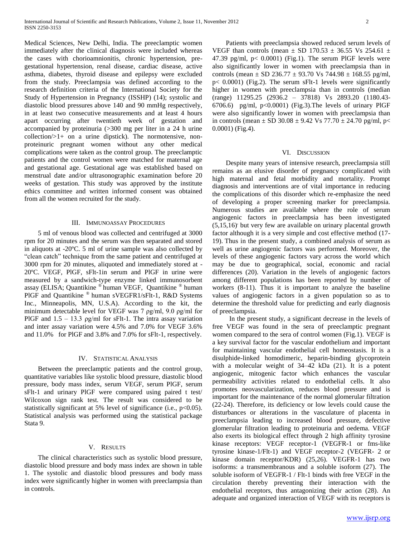Medical Sciences, New Delhi, India. The preeclamptic women immediately after the clinical diagnosis were included whereas the cases with chorioamnionitis, chronic hypertension, pregestational hypertension, renal disease, cardiac disease, active asthma, diabetes, thyroid disease and epilepsy were excluded from the study. Preeclampsia was defined according to the research definition criteria of the International Society for the Study of Hypertension in Pregnancy (ISSHP) (14); systolic and diastolic blood pressures above 140 and 90 mmHg respectively, in at least two consecutive measurements and at least 4 hours apart occurring after twentieth week of gestation and accompanied by proteinuria (>300 mg per liter in a 24 h urine collection/>1+ on a urine dipstick). The normotensive, nonproteinuric pregnant women without any other medical complications were taken as the control group. The preeclamptic patients and the control women were matched for maternal age and gestational age. Gestational age was established based on menstrual date and/or ultrasonographic examination before 20 weeks of gestation. This study was approved by the institute ethics committee and written informed consent was obtained from all the women recruited for the study.

## III. IMMUNOASSAY PROCEDURES

 5 ml of venous blood was collected and centrifuged at 3000 rpm for 20 minutes and the serum was then separated and stored in aliquots at -20ºC. 5 ml of urine sample was also collected by "clean catch" technique from the same patient and centrifuged at 3000 rpm for 20 minutes, aliquoted and immediately stored at - 20ºC. VEGF, PlGF, sFlt-1in serum and PlGF in urine were measured by a sandwich-type enzyme linked immunosorbent assay (ELISA; Quantikine ® human VEGF, Quantikine ® human PlGF and Quantikine ® human sVEGFR1/sFlt-1, R&D Systems Inc., Minneapolis, MN, U.S.A). According to the kit, the minimum detectable level for VEGF was 7 ρg/ml, 9.0 ρg/ml for PlGF and  $1.5 - 13.3$  pg/ml for sFlt-1. The intra assay variation and inter assay variation were 4.5% and 7.0% for VEGF 3.6% and 11.0% for PlGF and 3.8% and 7.0% for sFlt-1, respectively.

## IV. STATISTICAL ANALYSIS

 Between the preeclamptic patients and the control group, quantitative variables like systolic blood pressure, diastolic blood pressure, body mass index, serum VEGF, serum PlGF, serum sFlt-1 and urinary PlGF were compared using paired t test/ Wilcoxon sign rank test. The result was considered to be statistically significant at 5% level of significance (i.e.,  $p<0.05$ ). Statistical analysis was performed using the statistical package Stata 9.

## V. RESULTS

 The clinical characteristics such as systolic blood pressure, diastolic blood pressure and body mass index are shown in table 1. The systolic and diastolic blood pressures and body mass index were significantly higher in women with preeclampsia than in controls.

 Patients with preeclampsia showed reduced serum levels of VEGF than controls (mean  $\pm$  SD 170.53  $\pm$  36.55 Vs 254.61  $\pm$ 47.39 pg/ml,  $p < 0.0001$ ) (Fig.1). The serum PIGF levels were also significantly lower in women with preeclampsia than in controls (mean  $\pm$  SD 236.77  $\pm$  93.70 Vs 744.98  $\pm$  168.55 pg/ml, p< 0.0001) (Fig.2). The serum sFlt-1 levels were significantly higher in women with preeclampsia than in controls (median (range) 11295.25 (2936.2 – 37818) Vs 2893.20 (1180.43- 6706.6) pg/ml,  $p<0.0001$ ) (Fig.3). The levels of urinary PIGF were also significantly lower in women with preeclampsia than in controls (mean  $\pm$  SD 30.08  $\pm$  9.42 Vs 77.70  $\pm$  24.70 pg/ml, p< 0.0001) (Fig.4).

#### VI. DISCUSSION

 Despite many years of intensive research, preeclampsia still remains as an elusive disorder of pregnancy complicated with high maternal and fetal morbidity and mortality. Prompt diagnosis and interventions are of vital importance in reducing the complications of this disorder which re-emphasize the need of developing a proper screening marker for preeclampsia. Numerous studies are available where the role of serum angiogenic factors in preeclampsia has been investigated  $(5,15,16)$  but very few are available on urinary placental growth factor although it is a very simple and cost effective method (17- 19). Thus in the present study, a combined analysis of serum as well as urine angiogenic factors was performed. Moreover, the levels of these angiogenic factors vary across the world which may be due to geographical, social, economic and racial differences (20). Variation in the levels of angiogenic factors among different populations has been reported by number of workers (8-11). Thus it is important to analyze the baseline values of angiogenic factors in a given population so as to determine the threshold value for predicting and early diagnosis of preeclampsia.

 In the present study, a significant decrease in the levels of free VEGF was found in the sera of preeclamptic pregnant women compared to the sera of control women (Fig.1). VEGF is a key survival factor for the vascular endothelium and important for maintaining vascular endothelial cell homeostasis. It is a disulphide-linked homodimeric, heparin-binding glycoprotein with a molecular weight of 34–42 kDa (21). It is a potent angiogenic, mitogenic factor which enhances the vascular permeability activities related to endothelial cells. It also promotes neovascularization, reduces blood pressure and is important for the maintenance of the normal glomerular filtration (22-24). Therefore, its deficiency or low levels could cause the disturbances or alterations in the vasculature of placenta in preeclampsia leading to increased blood pressure, defective glomerular filtration leading to proteinuria and oedema. VEGF also exerts its biological effect through 2 high affinity tyrosine kinase receptors: VEGF receptor-1 (VEGFR-1 or fms-like tyrosine kinase-1/Flt-1) and VEGF receptor-2 (VEGFR- 2 or kinase domain receptor/KDR) (25,26). VEGFR-1 has two isoforms: a transmembranous and a soluble isoform (27). The soluble isoform of VEGFR-1 / Flt-1 binds with free VEGF in the circulation thereby preventing their interaction with the endothelial receptors, thus antagonizing their action (28). An adequate and organized interaction of VEGF with its receptors is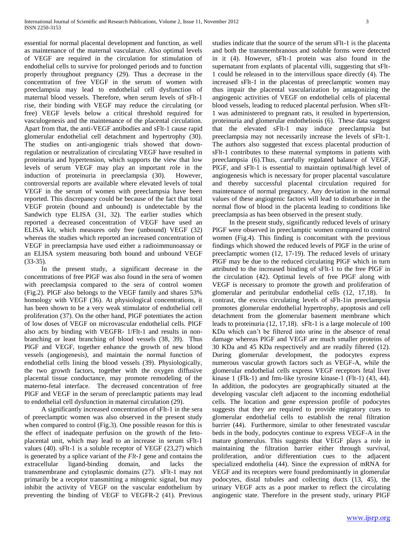essential for normal placental development and function, as well as maintenance of the maternal vasculature. Also optimal levels of VEGF are required in the circulation for stimulation of endothelial cells to survive for prolonged periods and to function properly throughout pregnancy (29). Thus a decrease in the concentration of free VEGF in the serum of women with preeclampsia may lead to endothelial cell dysfunction of maternal blood vessels. Therefore, when serum levels of sFlt-1 rise, their binding with VEGF may reduce the circulating (or free) VEGF levels below a critical threshold required for vasculogenesis and the maintenance of the placental circulation. Apart from that, the anti-VEGF antibodies and sFlt-1 cause rapid glomerular endothelial cell detachment and hypertrophy (30). The studies on anti-angiogenic trials showed that downregulation or neutralization of circulating VEGF have resulted in proteinuria and hypertension, which supports the view that low levels of serum VEGF may play an important role in the induction of proteinuria in preeclampsia (30). However, controversial reports are available where elevated levels of total VEGF in the serum of women with preeclampsia have been reported. This discrepancy could be because of the fact that total VEGF protein (bound and unbound) is undetectable by the Sandwich type ELISA (31, 32). The earlier studies which reported a decreased concentration of VEGF have used an ELISA kit, which measures only free (unbound) VEGF (32) whereas the studies which reported an increased concentration of VEGF in preeclampsia have used either a radioimmunoassay or an ELISA system measuring both bound and unbound VEGF (33-35).

 In the present study, a significant decrease in the concentrations of free PlGF was also found in the sera of women with preeclampsia compared to the sera of control women (Fig.2). PlGF also belongs to the VEGF family and shares 53% homology with VEGF (36). At physiological concentrations, it has been shown to be a very weak stimulator of endothelial cell proliferation (37). On the other hand, PlGF potentiates the action of low doses of VEGF on microvascular endothelial cells. PlGF also acts by binding with VEGFR- 1/Flt-1 and results in nonbranching or least branching of blood vessels (38, 39). Thus PlGF and VEGF, together enhance the growth of new blood vessels (angiogenesis), and maintain the normal function of endothelial cells lining the blood vessels (39). Physiologically, the two growth factors, together with the oxygen diffusive placental tissue conductance, may promote remodeling of the materno-fetal interface. The decreased concentration of free PlGF and VEGF in the serum of preeclamptic patients may lead to endothelial cell dysfunction in maternal circulation (29).

 A significantly increased concentration of sFlt-1 in the sera of preeclamptic women was also observed in the present study when compared to control (Fig.3). One possible reason for this is the effect of inadequate perfusion on the growth of the fetoplacental unit, which may lead to an increase in serum sFlt-1 values (40). sFlt-1 is a soluble receptor of VEGF (23,27) which is generated by a splice variant of the *Flt-1* gene and contains the extracellular ligand-binding domain, and lacks the transmembrane and cytoplasmic domains (27). sFlt-1 may not primarily be a receptor transmitting a mitogenic signal, but may inhibit the activity of VEGF on the vascular endothelium by preventing the binding of VEGF to VEGFR-2 (41). Previous studies indicate that the source of the serum sFlt-1 is the placenta and both the transmembranous and soluble forms were detected in it (4). However, sFlt-1 protein was also found in the supernatant from explants of placental villi, suggesting that sFlt-1 could be released in to the intervillous space directly (4). The increased sFlt-1 in the placentas of preeclamptic women may thus impair the placental vascularization by antagonizing the angiogenic activities of VEGF on endothelial cells of placental blood vessels, leading to reduced placental perfusion. When sFlt-1 was administered to pregnant rats, it resulted in hypertension, proteinuria and glomerular endotheliosis (6). These data suggest that the elevated sFlt-1 may induce preeclampsia but preeclampsia may not necessarily increase the levels of sFlt-1. The authors also suggested that excess placental production of sFlt-1 contributes to these maternal symptoms in patients with preeclampsia (6).Thus, carefully regulated balance of VEGF, PlGF, and sFlt-1 is essential to maintain optimal/high level of angiogenesis which is necessary for proper placental vasculature and thereby successful placental circulation required for maintenance of normal pregnancy. Any deviation in the normal values of these angiogenic factors will lead to disturbance in the normal flow of blood in the placenta leading to conditions like preeclampsia as has been observed in the present study.

 In the present study, significantly reduced levels of urinary PlGF were observed in preeclamptic women compared to control women (Fig.4). This finding is concomitant with the previous findings which showed the reduced levels of PlGF in the urine of preeclamptic women (12, 17-19). The reduced levels of urinary PlGF may be due to the reduced circulating PlGF which in turn attributed to the increased binding of sFlt-1 to the free PlGF in the circulation (42). Optimal levels of free PlGF along with VEGF is necessary to promote the growth and proliferation of glomerular and peritubular endothelial cells (12, 17,18). In contrast, the excess circulating levels of sFlt-1in preeclampsia promotes glomerular endothelial hypertrophy, apoptosis and cell detachment from the glomerular basement membrane which leads to proteinuria (12, 17,18). sFlt-1 is a large molecule of 100 KDa which can't be filtered into urine in the absence of renal damage whereas PlGF and VEGF are much smaller proteins of 30 KDa and 45 KDa respectively and are readily filtered (12). During glomerular development, the podocytes express numerous vascular growth factors such as VEGF-A, while the glomerular endothelial cells express VEGF receptors fetal liver kinase 1 (Flk-1) and fms-like tyrosine kinase-1 (Flt-1) (43, 44). In addition, the podocytes are geographically situated at the developing vascular cleft adjacent to the incoming endothelial cells. The location and gene expression profile of podocytes suggests that they are required to provide migratory cues to glomerular endothelial cells to establish the renal filtration barrier (44). Furthermore, similar to other fenestrated vascular beds in the body, podocytes continue to express VEGF-A in the mature glomerulus. This suggests that VEGF plays a role in maintaining the filtration barrier either through survival, proliferation, and/or differentiation cues to the adjacent specialized endothelia (44). Since the expression of mRNA for VEGF and its receptors were found predominantly in glomerular podocytes, distal tubules and collecting ducts (13, 45), the urinary VEGF acts as a poor marker to reflect the circulating angiogenic state. Therefore in the present study, urinary PlGF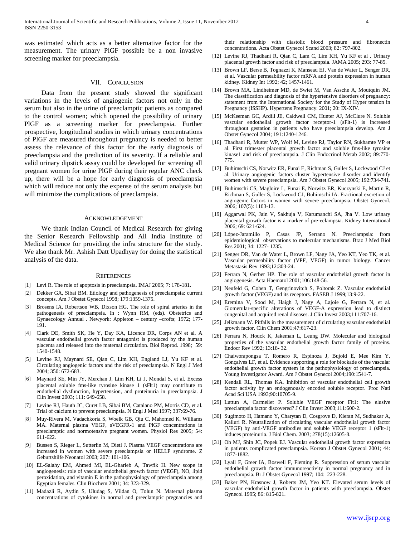was estimated which acts as a better alternative factor for the measurement. The urinary PlGF possible be a non invasive screening marker for preeclampsia.

## VII. CONCLUSION

 Data from the present study showed the significant variations in the levels of angiogenic factors not only in the serum but also in the urine of preeclamptic patients as compared to the control women; which opened the possibility of urinary PlGF as a screening marker for preeclampsia. Further prospective, longitudinal studies in which urinary concentrations of PlGF are measured throughout pregnancy is needed to better assess the relevance of this factor for the early diagnosis of preeclampsia and the prediction of its severity. If a reliable and valid urinary dipstick assay could be developed for screening all pregnant women for urine PlGF during their regular ANC check up, there will be a hope for early diagnosis of preeclampsia which will reduce not only the expense of the serum analysis but will minimize the complications of preeclampsia.

#### ACKNOWLEDGEMENT

 We thank Indian Council of Medical Research for giving the Senior Research Fellowship and All India Institute of Medical Science for providing the infra structure for the study. We also thank Mr. Ashish Datt Upadhyay for doing the statistical analysis of the data.

#### **REFERENCES**

- [1] Levi R. The role of apoptosis in preeclampsia. IMAJ 2005; 7: 178-181.
- [2] Dekker GA, Sibai BM. Etiology and pathogenesis of preeclampsia: current concepts. Am J Obstet Gynecol 1998; 179:1359-1375.
- [3] Brosens IA, Robertson WB, Dixson HG. The role of spiral arteries in the pathogenesis of preeclampsia. In : Wynn RM, (eds). Obstetrics and Gynaecology Annual . Newyork: Appleton – century –crofts; 1972; 177- 191.
- [4] Clark DE, Smith SK, He Y, Day KA, Licence DR, Corps AN et al. A vascular endothelial growth factor antagonist is produced by the human placenta and released into the maternal circulation. Biol Reprod. 1998; 59: 1540-1548.
- [5] Levine RJ, Maynard SE, Qian C, Lim KH, England LJ, Yu KF et al. Circulating angiogenic factors and the risk of preeclampsia. N Engl J Med 2004; 350: 672-683.
- [6] Maynard SE, Min JY, Merchan J, Lim KH, Li J, Mondal S, et al. Excess placental soluble fms-like tyrosine kinase 1 (sFlt1) may contribute to endothelial dysfunction, hypertension, and proteinuria in preeclampsia. J Clin Invest 2003; 111: 649-658.
- [7] Levine RJ, Hauth JC, Curet LB, Sibai BM, Catalano PM, Morris CD, et al. Trial of calcium to prevent preeclampsia. N Engl J Med 1997; 337:69-76.
- [8] Muy-Rivera M, Vadachkoria S, Woelk GB, Qiu C, Mahomed K, Williams MA. Maternal plasma VEGF, sVEGFR-1 and PlGF concentrations in preeclamptic and normotensive pregnant women. Physiol Res 2005; 54: 611-622.
- [9] Bussen S, Rieger L, Sutterlin M, Dietl J. Plasma VEGF concentrations are increased in women with severe preeclampsia or HELLP syndrome. Z Geburtshilfe Neonatol 2003; 207: 101-106.
- [10] EL-Salahy EM, Ahmed MI, EL-Gharieb A, Tawfik H. New scope in angiogenesis: role of vascular endothelial growth factor (VEGF), NO, lipid peroxidation, and vitamin E in the pathophysiology of preeclampsia among Egyptian females. Clin Biochem 2001; 34: 323-329.
- [11] Madazli R, Aydin S, Uludag S, Vildan O, Tolun N. Maternal plasma concentrations of cytokines in normal and preeclamptic pregnancies and

their relationship with diastolic blood pressure and fibronectin concentrations. Acta Obstet Gynecol Scand 2003; 82: 797-802.

- [12] Levine RJ, Thadhani R, Qian C, Lam C, Lim KH, Yu KF et al . Urinary placental growth factor and risk of preeclampsia. JAMA 2005; 293: 77-85.
- [13] Brown LF, Berse B, Tognazzi K, Manseau EJ, Van de Water L, Senger DR, et al. Vascular permeability factor mRNA and protein expression in human kidney. Kidney Int 1992; 42; 1457-1461.
- [14] Brown MA, Lindheimer MD, de Swiet M, Van Assche A, Moutquin JM. The classification and diagnosis of the hypertensive disorders of pregnancy: statement from the International Society for the Study of Hyper tension in Pregnancy (ISSHP). Hypertens Pregnancy. 2001; 20: IX-XIV.
- [15] McKeeman GC, Ardill JE, Caldwell CM, Hunter AJ, McClure N. Soluble vascular endothelial growth factor receptor-1 (sFlt-1) is increased throughout gestation in patients who have preeclampsia develop. Am J Obstet Gynecol 2004; 191:1240-1246.
- [16] Thadhani R, Mutter WP, Wolf M, Levine RJ, Taylor RN, Sukhamte VP et al. First trimester placental growth factor and soluble fms-like tyrosine kinase1 and risk of preeclampsia. J Clin Endocrinol Metab 2002; 89:770- 775.
- [17] Buhimschi CS, Norwitz ER, Funai E, Richman S, Guller S, Lockwood CJ et al. Urinary angiogenic factors cluster hypertensive disorder and identify women with severe preeclampsia. Am J Obstet Gynecol 2005; 192:734-741.
- [18] Buhimschi CS, Magloire L, Funai E, Norwitz ER, Kuczynski E, Martin R, Richman S, Guller S, Lockwood CJ, Buhimschi IA. Fractional excretion of angiogenic factors in women with severe preeclampsia. Obstet Gynecol. 2006; 107(5): 1103-13.
- [19] Aggarwal PK, Jain V, Sakhuja V, Karumanchi SA, Jha V. Low urinary placental growth factor is a marker of pre-eclampsia. Kidney International 2006; 69: 621-624.
- [20] López-Jaramillo P, Casas JP, Serrano N. Preeclampsia: from epidemiological observations to molecular mechanisms. Braz J Med Biol Res 2001; 34: 1227- 1235.
- [21] Senger DR, Van de Water L, Brown LF, Nagy JA, Yeo KT, Yeo TK, et al. Vascular permeability factor (VPF, VEGF) in tumor biology. Cancer Metastasis Rev 1993;12:303-24.
- [22] Ferrara N, Gerber HP. The role of vascular endothelial growth factor in angiogenesis. Acta Haematol 2001;106:148-56.
- [23] Neufeld G, Cohen T, Gengrinovitch S, Poltorak Z. Vascular endothelial growth factor (VEGF) and its receptors. FASEB J 1999;13:9-22.
- [24] Eremina V, Sood M, Haigh J, Nagy A, Lajoie G, Ferrara N, et al. Glomerular-specific alterations of VEGF-A expression lead to distinct congenital and acquired renal diseases. J Clin Invest 2003;111:707-16.
- [25] Jelkmann W. Pitfalls in the measurement of circulating vascular endothelial growth factor. Clin Chem 2001;47:617-23.
- [26] Ferrara N, Houck K, Jakeman L, Leung DW. Molecular and biological properties of the vascular endothelial growth factor family of proteins. Endocr Rev 1992; 13:18- 32.
- [27] Chaiworapongsa T, Romero R, Espinoza J, Bujold E, Mee Kim Y, Gonçalves LF, et al. Evidence supporting a role for blockade of the vascular endothelial growth factor system in the pathophysiology of preeclampsia. Young Investigator Award. Am J Obstet Gynecol 2004;190:1541-7.
- [28] Kendall RL, Thomas KA. Inhibition of vascular endothelial cell growth factor activity by an endogenously encoded soluble receptor. Proc Natl Acad Sci USA 1993;90:10705-9.
- [29] Luttun A, Carmeliet P. Soluble VEGF receptor Flt1: The elusive preeclampsia factor discovered? J Clin Invest 2003;111:600-2.
- [30] Sugimoto H, Hamano Y, Charytan D, Cosgrove D, Kieran M, Sudhakar A, Kalluri R. Neutralization of circulating vascular endothelial growth factor (VEGF) by anti-VEGF antibodies and soluble VEGF receptor 1 (sFlt-1) induces proteinuria. J Biol Chem. 2003; 278(15):12605-8.
- [31] Oh MJ, Shin JC, Popek EJ. Vascular endothelial growth factor expression in patients complicated preeclampsia. Korean J Obstet Gynecol 2001; 44: 1877-1882.
- [32] Lyall F, Greer IA, Boswell F, Fleming R. Suppression of serum vascular endothelial growth factor immunoreactivity in normal pregnancy and in preeclampsia. Br J Obstet Gynecol 1997; 104: 223-228.
- [33] Baker PN, Krasnow J, Roberts JM, Yeo KT. Elevated serum levels of vascular endothelial growth factor in patients with preeclampsia. Obstet Gynecol 1995; 86: 815-821.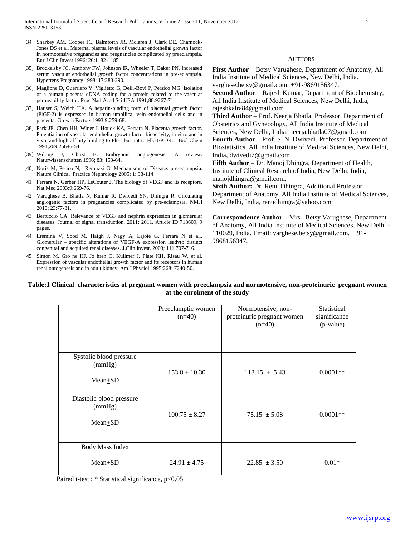- [34] Sharkey AM, Cooper JC, Balmforth JR, Mclaren J, Clark DE, Charnock-Jones DS et al. Maternal plasma levels of vascular endothelial growth factor in normotensive pregnancies and pregnancies complicated by preeclampsia. Eur J Clin Invest 1996; 26:1182-1185.
- [35] Brockelsby JC, Anthony FW, Johnson IR, Wheeler T, Baker PN. Increased serum vascular endothelial growth factor concentrations in pre-eclampsia. Hypertens Pregnancy 1998; 17:283-290.
- [36] Maglione D, Guerriero V, Viglietto G, Delli-Bovi P, Persico MG. Isolation of a human placenta cDNA coding for a protein related to the vascular permeability factor. Proc Natl Acad Sci USA 1991;88:9267-71.
- [37] Hauser S, Weich HA. A heparin-binding form of placental growth factor (PlGF-2) is expressed in human umbilical vein endothelial cells and in placenta. Growth Factors 1993;9:259-68.
- [38] Park JE, Chen HH, Winer J, Houck KA, Ferrara N. Placenta growth factor. Potentiation of vascular endothelial growth factor bioactivity, in vitro and in vivo, and high affinity binding to Flt-1 but not to Flk-1/KDR. J Biol Chem 1994;269:25646-54.
- [39] Wilting J, Christ B. Embryonic angiogenesis: A review. Naturwissenschaften 1996; 83: 153-64.
- [40] Noris M, Perico N, Remuzzi G. Mechanisms of Disease: pre-eclampsia. Nature Clinical Practice Nephrology 2005; 1: 98-114
- [41] Ferrara N, Gerber HP, LeCouter J. The biology of VEGF and its receptors. Nat Med 2003;9:669-76.
- [42] Varughese B, Bhatla N, Kumar R, Dwivedi SN, Dhingra R. Circulating angiogenic factors in pregnancies complicated by pre-eclampsia. NMJI 2010; 23:77-81.
- [43] Bertuccio CA. Relevance of VEGF and nephrin expression in glomerular diseases. Journal of signal transduction. 2011; 2011, Article ID 718609, 9 pages.
- [44] Eremina V, Sood M, Haigh J, Nagy A, Lajoie G, Ferrara N et al., Glomerular – specific alterations of VEGF-A expression leadvto distinct congenital and acquired renal diseases. J.Clin.Invest. 2003; 111:707-716.
- [45] Simon M, Gro ne HJ, Jo hren O, Kullmer J, Plate KH, Risau W, et al. Expression of vascular endothelial growth factor and its receptors in human renal ontogenesis and in adult kidney. Am J Physiol 1995;268: F240-50.

AUTHORS

**First Author** – Betsy Varughese, Department of Anatomy, All India Institute of Medical Sciences, New Delhi, India. varghese.betsy@gmail.com, +91-9869156347.

**Second Author** – Rajesh Kumar, Department of Biochemistry, All India Institute of Medical Sciences, New Delhi, India, rajeshkalra84@gmail.com

**Third Author** – Prof. Neerja Bhatla, Professor, Department of Obstetrics and Gynecology, All India Institute of Medical Sciences, New Delhi, India, neerja.bhatla07@gmail.com **Fourth Author** – Prof. S. N. Dwivedi, Professor, Department of

Biostatistics, All India Institute of Medical Sciences, New Delhi, India, dwivedi7@gmail.com

**Fifth Author** – Dr. Manoj Dhingra, Department of Health, Institute of Clinical Research of India, New Delhi, India, manojdhingra@gmail.com.

**Sixth Author:** Dr. Renu Dhingra, Additional Professor, Department of Anatomy, All India Institute of Medical Sciences, New Delhi, India, renudhingra@yahoo.com

**Correspondence Author** – Mrs. Betsy Varughese, Department of Anatomy, All India Institute of Medical Sciences, New Delhi - 110029, India. Email: varghese.betsy@gmail.com. +91- 9868156347.

## **Table:1 Clinical characteristics of pregnant women with preeclampsia and normotensive, non-proteinuric pregnant women at the enrolment of the study**

|                                                  | Preeclamptic women<br>$(n=40)$ | Normotensive, non-<br>proteinuric pregnant women<br>$(n=40)$ | Statistical<br>significance<br>(p-value) |
|--------------------------------------------------|--------------------------------|--------------------------------------------------------------|------------------------------------------|
| Systolic blood pressure<br>(mmHg)<br>$Mean + SD$ | $153.8 \pm 10.30$              | $113.15 \pm 5.43$                                            | $0.0001**$                               |
| Diastolic blood pressure<br>(mmHg)<br>Mean+SD    | $100.75 \pm 8.27$              | $75.15 \pm 5.08$                                             | $0.0001**$                               |
| <b>Body Mass Index</b><br>$Mean + SD$            | $24.91 \pm 4.75$               | $22.85 \pm 3.50$                                             | $0.01*$                                  |

Paired t-test ; \* Statistical significance,  $p<0.05$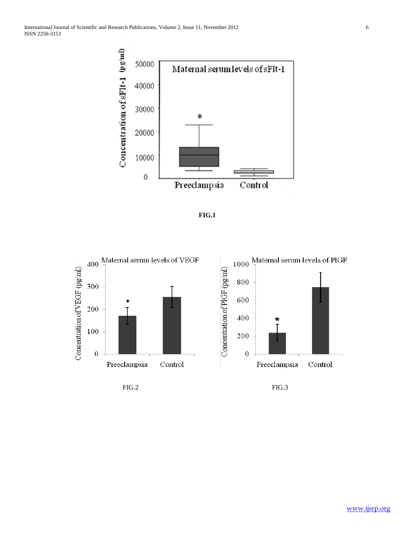